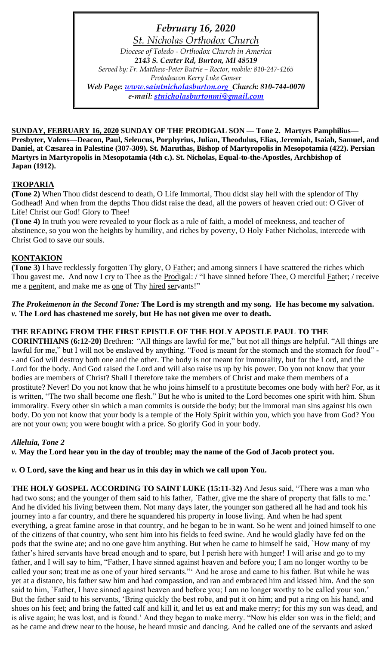*February 16, 2020 St. Nicholas Orthodox Church Diocese of Toledo - Orthodox Church in America 2143 S. Center Rd, Burton, MI 48519 Served by: Fr. Matthew-Peter Butrie – Rector, mobile: 810-247-4265 Protodeacon Kerry Luke Gonser Web Page: [www.saintnicholasburton.org](http://www.saintnicholasburton.org/) Church: 810-744-0070 e-mail: [stnicholasburtonmi@gmail.com](mailto:stnicholasburtonmi@gmail.com)*

**SUNDAY, FEBRUARY 16, 2020 SUNDAY OF THE PRODIGAL SON — Tone 2. Martyrs Pamphilius— Presbyter, Valens—Deacon, Paul, Seleucus, Porphyrius, Julian, Theodulus, Elias, Jeremiah, Isaiah, Samuel, and Daniel, at Cæsarea in Palestine (307-309). St. Maruthas, Bishop of Martyropolis in Mesopotamia (422). Persian Martyrs in Martyropolis in Mesopotamia (4th c.). St. Nicholas, Equal-to-the-Apostles, Archbishop of Japan (1912).**

# **TROPARIA**

**(Tone 2)** When Thou didst descend to death, O Life Immortal, Thou didst slay hell with the splendor of Thy Godhead! And when from the depths Thou didst raise the dead, all the powers of heaven cried out: O Giver of Life! Christ our God! Glory to Thee!

**(Tone 4)** In truth you were revealed to your flock as a rule of faith, a model of meekness, and teacher of abstinence, so you won the heights by humility, and riches by poverty, O Holy Father Nicholas, intercede with Christ God to save our souls.

### **KONTAKION**

**(Tone 3)** I have recklessly forgotten Thy glory, O Father; and among sinners I have scattered the riches which Thou gavest me. And now I cry to Thee as the Prodigal: / "I have sinned before Thee, O merciful Father; / receive me a penitent, and make me as one of Thy hired servants!"

### *The Prokeimenon in the Second Tone:* **The Lord is my strength and my song. He has become my salvation.** *v.* **The Lord has chastened me sorely, but He has not given me over to death.**

### **THE READING FROM THE FIRST EPISTLE OF THE HOLY APOSTLE PAUL TO THE**

**CORINTHIANS (6:12-20)** Brethren: *"*All things are lawful for me," but not all things are helpful. "All things are lawful for me," but I will not be enslaved by anything. "Food is meant for the stomach and the stomach for food" -- and God will destroy both one and the other. The body is not meant for immorality, but for the Lord, and the Lord for the body. And God raised the Lord and will also raise us up by his power. Do you not know that your bodies are members of Christ? Shall I therefore take the members of Christ and make them members of a prostitute? Never! Do you not know that he who joins himself to a prostitute becomes one body with her? For, as it is written, "The two shall become one flesh." But he who is united to the Lord becomes one spirit with him. Shun immorality. Every other sin which a man commits is outside the body; but the immoral man sins against his own body. Do you not know that your body is a temple of the Holy Spirit within you, which you have from God? You are not your own; you were bought with a price. So glorify God in your body.

### *Alleluia, Tone 2*

*v.* **May the Lord hear you in the day of trouble; may the name of the God of Jacob protect you.**

*v.* **O Lord, save the king and hear us in this day in which we call upon You.**

**THE HOLY GOSPEL ACCORDING TO SAINT LUKE (15:11-32)** And Jesus said, "There was a man who had two sons; and the younger of them said to his father, `Father, give me the share of property that falls to me.' And he divided his living between them. Not many days later, the younger son gathered all he had and took his journey into a far country, and there he squandered his property in loose living. And when he had spent everything, a great famine arose in that country, and he began to be in want. So he went and joined himself to one of the citizens of that country, who sent him into his fields to feed swine. And he would gladly have fed on the pods that the swine ate; and no one gave him anything. But when he came to himself he said, `How many of my father's hired servants have bread enough and to spare, but I perish here with hunger! I will arise and go to my father, and I will say to him, "Father, I have sinned against heaven and before you; I am no longer worthy to be called your son; treat me as one of your hired servants."' And he arose and came to his father. But while he was yet at a distance, his father saw him and had compassion, and ran and embraced him and kissed him. And the son said to him, `Father, I have sinned against heaven and before you; I am no longer worthy to be called your son.' But the father said to his servants, 'Bring quickly the best robe, and put it on him; and put a ring on his hand, and shoes on his feet; and bring the fatted calf and kill it, and let us eat and make merry; for this my son was dead, and is alive again; he was lost, and is found.' And they began to make merry. "Now his elder son was in the field; and as he came and drew near to the house, he heard music and dancing. And he called one of the servants and asked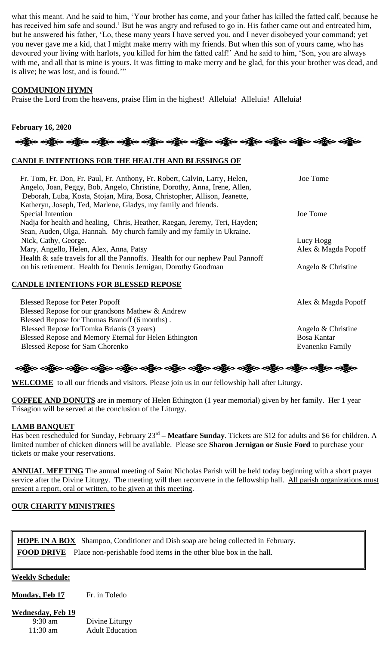what this meant. And he said to him, 'Your brother has come, and your father has killed the fatted calf, because he has received him safe and sound.' But he was angry and refused to go in. His father came out and entreated him, but he answered his father, 'Lo, these many years I have served you, and I never disobeyed your command; yet you never gave me a kid, that I might make merry with my friends. But when this son of yours came, who has devoured your living with harlots, you killed for him the fatted calf!' And he said to him, 'Son, you are always with me, and all that is mine is yours. It was fitting to make merry and be glad, for this your brother was dead, and is alive; he was lost, and is found.'"

### **COMMUNION HYMN**

Praise the Lord from the heavens, praise Him in the highest! Alleluia! Alleluia! Alleluia!

# **February 16, 2020**

# **CANDLE INTENTIONS FOR THE HEALTH AND BLESSINGS OF**

| Fr. Tom, Fr. Don, Fr. Paul, Fr. Anthony, Fr. Robert, Calvin, Larry, Helen,<br>Angelo, Joan, Peggy, Bob, Angelo, Christine, Dorothy, Anna, Irene, Allen,<br>Deborah, Luba, Kosta, Stojan, Mira, Bosa, Christopher, Allison, Jeanette, | Joe Tome            |
|--------------------------------------------------------------------------------------------------------------------------------------------------------------------------------------------------------------------------------------|---------------------|
| Katheryn, Joseph, Ted, Marlene, Gladys, my family and friends.                                                                                                                                                                       | Joe Tome            |
| Special Intention                                                                                                                                                                                                                    |                     |
| Nadja for health and healing, Chris, Heather, Raegan, Jeremy, Teri, Hayden;                                                                                                                                                          |                     |
| Sean, Auden, Olga, Hannah. My church family and my family in Ukraine.                                                                                                                                                                |                     |
| Nick, Cathy, George.                                                                                                                                                                                                                 | Lucy Hogg           |
| Mary, Angello, Helen, Alex, Anna, Patsy                                                                                                                                                                                              | Alex & Magda Popoff |
| Health & safe travels for all the Pannoffs. Health for our nephew Paul Pannoff                                                                                                                                                       |                     |
| on his retirement. Health for Dennis Jernigan, Dorothy Goodman                                                                                                                                                                       | Angelo & Christine  |
| <b>CANDLE INTENTIONS FOR BLESSED REPOSE</b>                                                                                                                                                                                          |                     |
| <b>Blessed Repose for Peter Popoff</b>                                                                                                                                                                                               | Alex & Magda Popoff |
| Blessed Repose for our grandsons Mathew & Andrew                                                                                                                                                                                     |                     |
| Blessed Repose for Thomas Branoff (6 months).                                                                                                                                                                                        |                     |
| Blessed Repose for Tomka Brianis (3 years)                                                                                                                                                                                           | Angelo & Christine  |
| Blessed Repose and Memory Eternal for Helen Ethington                                                                                                                                                                                | <b>Bosa Kantar</b>  |

Blessed Repose for Sam Chorenko **Evanenko Evanenko Family** 

# ခရွိက ခရွိက ခရွိက ခရွိက သို့သော်လူက သို့သော် ခရွိက ခရွိက ခရွိက သို့သော် သို့သော် သို့သော် သို့သော် သို့သ

**WELCOME** to all our friends and visitors. Please join us in our fellowship hall after Liturgy.

**COFFEE AND DONUTS** are in memory of Helen Ethington (1 year memorial) given by her family. Her 1 year Trisagion will be served at the conclusion of the Liturgy.

### **LAMB BANQUET**

Has been rescheduled for Sunday, February 23rd **– Meatfare Sunday**. Tickets are \$12 for adults and \$6 for children. A limited number of chicken dinners will be available. Please see **Sharon Jernigan or Susie Ford** to purchase your tickets or make your reservations.

**ANNUAL MEETING** The annual meeting of Saint Nicholas Parish will be held today beginning with a short prayer service after the Divine Liturgy. The meeting will then reconvene in the fellowship hall. All parish organizations must present a report, oral or written, to be given at this meeting.

### **OUR CHARITY MINISTRIES**

**HOPE IN A BOX** Shampoo, Conditioner and Dish soap are being collected in February. **FOOD DRIVE** Place non-perishable food items in the other blue box in the hall.

### **Weekly Schedule:**

**Monday, Feb 17** Fr. in Toledo

### **Wednesday, Feb 19**

| $9:30 \text{ am}$  | Divine Liturgy         |
|--------------------|------------------------|
| $11:30 \text{ am}$ | <b>Adult Education</b> |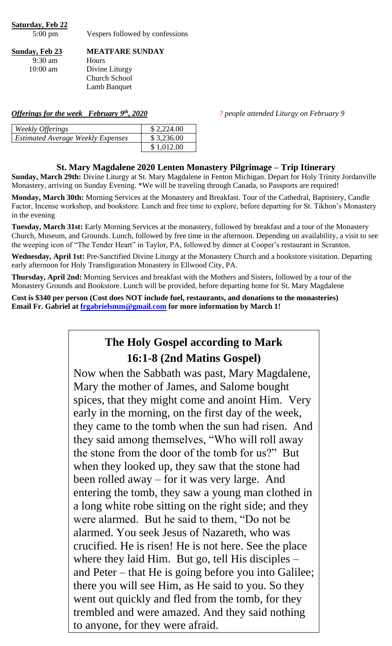**Saturday, Feb 22** 5:00 pm Vespers followed by confessions

**Sunday, Feb 23 MEATFARE SUNDAY**

9:30 am Hours

10:00 am Divine Liturgy Church School Lamb Banquet

*Offerings for the week February 9th, 2020 ? people attended Liturgy on February 9*

| Weekly Offerings                         | \$2,224.00 |
|------------------------------------------|------------|
| <b>Estimated Average Weekly Expenses</b> | \$3,236.00 |
|                                          | \$1,012.00 |

# **St. Mary Magdalene 2020 Lenten Monastery Pilgrimage – Trip Itinerary**

**Sunday, March 29th:** Divine Liturgy at St. Mary Magdalene in Fenton Michigan. Depart for Holy Trinity Jordanville Monastery, arriving on Sunday Evening. \*We will be traveling through Canada, so Passports are required!

**Monday, March 30th:** Morning Services at the Monastery and Breakfast. Tour of the Cathedral, Baptistery, Candle Factor, Incense workshop, and bookstore. Lunch and free time to explore, before departing for St. Tikhon's Monastery in the evening

**Tuesday, March 31st:** Early Morning Services at the monastery, followed by breakfast and a tour of the Monastery Church, Museum, and Grounds. Lunch, followed by free time in the afternoon. Depending on availability, a visit to see the weeping icon of "The Tender Heart" in Taylor, PA, followed by dinner at Cooper's restaurant in Scranton.

**Wednesday, April 1st:** Pre-Sanctified Divine Liturgy at the Monastery Church and a bookstore visitation. Departing early afternoon for Holy Transfiguration Monastery in Ellwood City, PA.

**Thursday, April 2nd:** Morning Services and breakfast with the Mothers and Sisters, followed by a tour of the Monastery Grounds and Bookstore. Lunch will be provided, before departing home for St. Mary Magdalene

**Cost is \$340 per person (Cost does NOT include fuel, restaurants, and donations to the monasteries) Email Fr. Gabriel at [frgabrielsmm@gmail.com](mailto:frgabrielsmm@gmail.com) for more information by March 1!**

# **The Holy Gospel according to Mark 16:1-8 (2nd Matins Gospel)**

Now when the Sabbath was past, Mary Magdalene, Mary the mother of James, and Salome bought spices, that they might come and anoint Him. Very early in the morning, on the first day of the week, they came to the tomb when the sun had risen. And they said among themselves, "Who will roll away the stone from the door of the tomb for us?" But when they looked up, they saw that the stone had been rolled away – for it was very large. And entering the tomb, they saw a young man clothed in a long white robe sitting on the right side; and they were alarmed. But he said to them, "Do not be alarmed. You seek Jesus of Nazareth, who was crucified. He is risen! He is not here. See the place where they laid Him. But go, tell His disciples – and Peter – that He is going before you into Galilee; there you will see Him, as He said to you. So they went out quickly and fled from the tomb, for they trembled and were amazed. And they said nothing to anyone, for they were afraid.